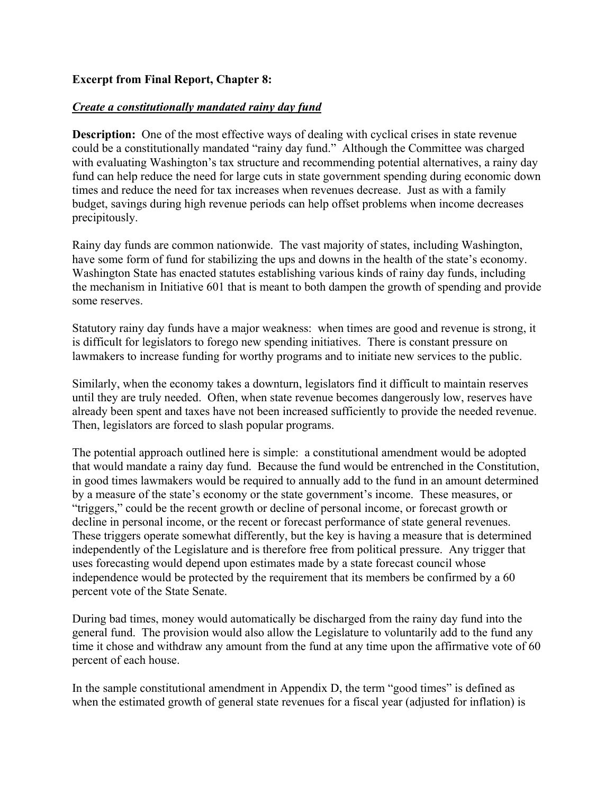## **Excerpt from Final Report, Chapter 8:**

## *Create a constitutionally mandated rainy day fund*

**Description:** One of the most effective ways of dealing with cyclical crises in state revenue could be a constitutionally mandated "rainy day fund." Although the Committee was charged with evaluating Washington's tax structure and recommending potential alternatives, a rainy day fund can help reduce the need for large cuts in state government spending during economic down times and reduce the need for tax increases when revenues decrease. Just as with a family budget, savings during high revenue periods can help offset problems when income decreases precipitously.

Rainy day funds are common nationwide. The vast majority of states, including Washington, have some form of fund for stabilizing the ups and downs in the health of the state's economy. Washington State has enacted statutes establishing various kinds of rainy day funds, including the mechanism in Initiative 601 that is meant to both dampen the growth of spending and provide some reserves.

Statutory rainy day funds have a major weakness: when times are good and revenue is strong, it is difficult for legislators to forego new spending initiatives. There is constant pressure on lawmakers to increase funding for worthy programs and to initiate new services to the public.

Similarly, when the economy takes a downturn, legislators find it difficult to maintain reserves until they are truly needed. Often, when state revenue becomes dangerously low, reserves have already been spent and taxes have not been increased sufficiently to provide the needed revenue. Then, legislators are forced to slash popular programs.

The potential approach outlined here is simple: a constitutional amendment would be adopted that would mandate a rainy day fund. Because the fund would be entrenched in the Constitution, in good times lawmakers would be required to annually add to the fund in an amount determined by a measure of the state's economy or the state government's income. These measures, or "triggers," could be the recent growth or decline of personal income, or forecast growth or decline in personal income, or the recent or forecast performance of state general revenues. These triggers operate somewhat differently, but the key is having a measure that is determined independently of the Legislature and is therefore free from political pressure. Any trigger that uses forecasting would depend upon estimates made by a state forecast council whose independence would be protected by the requirement that its members be confirmed by a 60 percent vote of the State Senate.

During bad times, money would automatically be discharged from the rainy day fund into the general fund. The provision would also allow the Legislature to voluntarily add to the fund any time it chose and withdraw any amount from the fund at any time upon the affirmative vote of 60 percent of each house.

In the sample constitutional amendment in Appendix D, the term "good times" is defined as when the estimated growth of general state revenues for a fiscal year (adjusted for inflation) is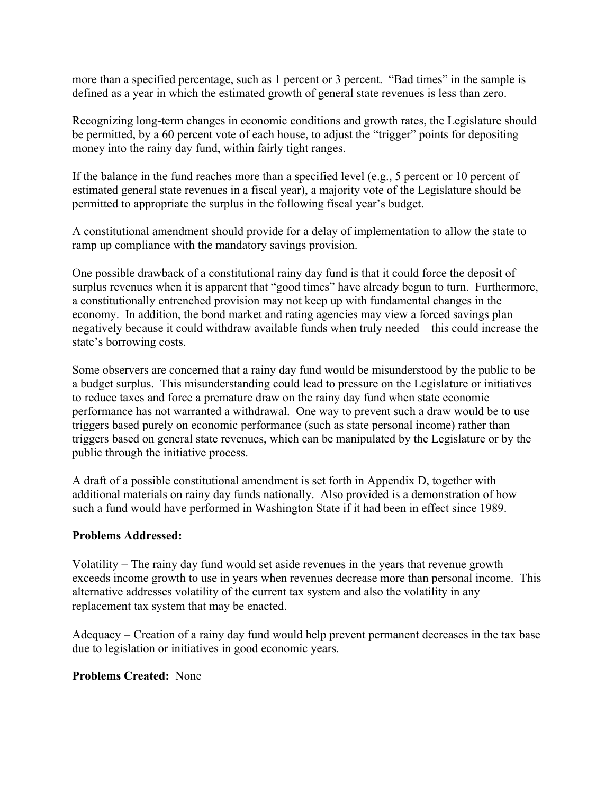more than a specified percentage, such as 1 percent or 3 percent. "Bad times" in the sample is defined as a year in which the estimated growth of general state revenues is less than zero.

Recognizing long-term changes in economic conditions and growth rates, the Legislature should be permitted, by a 60 percent vote of each house, to adjust the "trigger" points for depositing money into the rainy day fund, within fairly tight ranges.

If the balance in the fund reaches more than a specified level (e.g., 5 percent or 10 percent of estimated general state revenues in a fiscal year), a majority vote of the Legislature should be permitted to appropriate the surplus in the following fiscal year's budget.

A constitutional amendment should provide for a delay of implementation to allow the state to ramp up compliance with the mandatory savings provision.

One possible drawback of a constitutional rainy day fund is that it could force the deposit of surplus revenues when it is apparent that "good times" have already begun to turn. Furthermore, a constitutionally entrenched provision may not keep up with fundamental changes in the economy. In addition, the bond market and rating agencies may view a forced savings plan negatively because it could withdraw available funds when truly needed—this could increase the state's borrowing costs.

Some observers are concerned that a rainy day fund would be misunderstood by the public to be a budget surplus. This misunderstanding could lead to pressure on the Legislature or initiatives to reduce taxes and force a premature draw on the rainy day fund when state economic performance has not warranted a withdrawal. One way to prevent such a draw would be to use triggers based purely on economic performance (such as state personal income) rather than triggers based on general state revenues, which can be manipulated by the Legislature or by the public through the initiative process.

A draft of a possible constitutional amendment is set forth in Appendix D, together with additional materials on rainy day funds nationally. Also provided is a demonstration of how such a fund would have performed in Washington State if it had been in effect since 1989.

## **Problems Addressed:**

Volatility − The rainy day fund would set aside revenues in the years that revenue growth exceeds income growth to use in years when revenues decrease more than personal income. This alternative addresses volatility of the current tax system and also the volatility in any replacement tax system that may be enacted.

Adequacy − Creation of a rainy day fund would help prevent permanent decreases in the tax base due to legislation or initiatives in good economic years.

## **Problems Created:** None